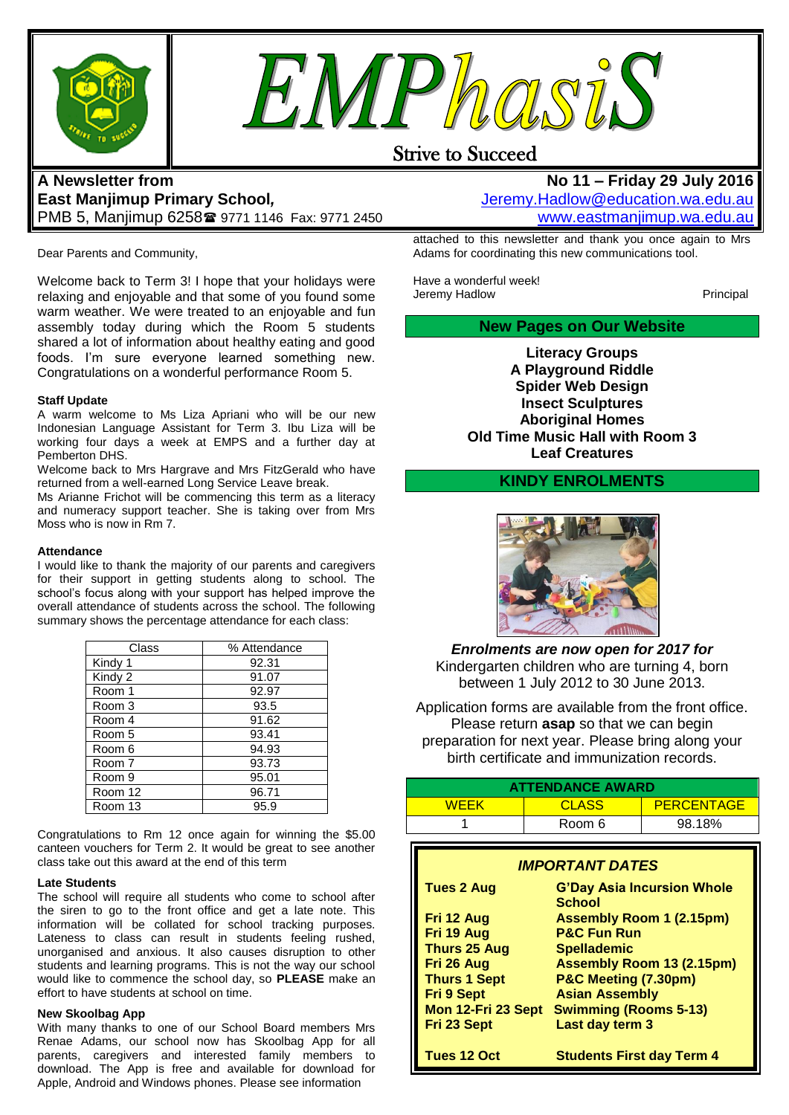



# Strive to Succeed

# **A Newsletter from East Manjimup Primary School***,*  PMB 5, Manjimup 6258 9771 1146 Fax: 9771 2450

Dear Parents and Community,

Welcome back to Term 3! I hope that your holidays were relaxing and enjoyable and that some of you found some warm weather. We were treated to an enjoyable and fun assembly today during which the Room 5 students shared a lot of information about healthy eating and good foods. I'm sure everyone learned something new. Congratulations on a wonderful performance Room 5.

#### **Staff Update**

A warm welcome to Ms Liza Apriani who will be our new Indonesian Language Assistant for Term 3. Ibu Liza will be working four days a week at EMPS and a further day at Pemberton DHS.

Welcome back to Mrs Hargrave and Mrs FitzGerald who have returned from a well-earned Long Service Leave break.

Ms Arianne Frichot will be commencing this term as a literacy and numeracy support teacher. She is taking over from Mrs Moss who is now in Rm 7.

#### **Attendance**

I would like to thank the majority of our parents and caregivers for their support in getting students along to school. The school's focus along with your support has helped improve the overall attendance of students across the school. The following summary shows the percentage attendance for each class:

| Class   | % Attendance |
|---------|--------------|
| Kindy 1 | 92.31        |
| Kindy 2 | 91.07        |
| Room 1  | 92.97        |
| Room 3  | 93.5         |
| Room 4  | 91.62        |
| Room 5  | 93.41        |
| Room 6  | 94.93        |
| Room 7  | 93.73        |
| Room 9  | 95.01        |
| Room 12 | 96.71        |
| Room 13 | 95.9         |

Congratulations to Rm 12 once again for winning the \$5.00 canteen vouchers for Term 2. It would be great to see another class take out this award at the end of this term

#### **Late Students**

The school will require all students who come to school after the siren to go to the front office and get a late note. This information will be collated for school tracking purposes. Lateness to class can result in students feeling rushed, unorganised and anxious. It also causes disruption to other students and learning programs. This is not the way our school would like to commence the school day, so **PLEASE** make an effort to have students at school on time.

#### **New Skoolbag App**

With many thanks to one of our School Board members Mrs Renae Adams, our school now has Skoolbag App for all parents, caregivers and interested family members to download. The App is free and available for download for Apple, Android and Windows phones. Please see information

### **No 11 – Friday 29 July 2016** [Jeremy.Hadlow@education.wa.edu.au](mailto:Jeremy.Hadlow@education.wa.edu.au) [www.eastmanjimup.wa.edu.au](http://www.eastmanjimup.wa.edu.au/)

attached to this newsletter and thank you once again to Mrs Adams for coordinating this new communications tool.

Have a wonderful week! Jeremy Hadlow **Principal** 

**New Pages on Our Website**

**Literacy Groups A Playground Riddle Spider Web Design Insect Sculptures Aboriginal Homes Old Time Music Hall with Room 3 Leaf Creatures**

### **KINDY ENROLMENTS**



*Enrolments are now open for 2017 for*  Kindergarten children who are turning 4, born between 1 July 2012 to 30 June 2013.

Application forms are available from the front office. Please return **asap** so that we can begin preparation for next year. Please bring along your birth certificate and immunization records.

| <b>ATTENDANCE AWARD</b>                                                                                                                                                                                                                                                                                                                                                                                                                                          |                                  |                   |  |
|------------------------------------------------------------------------------------------------------------------------------------------------------------------------------------------------------------------------------------------------------------------------------------------------------------------------------------------------------------------------------------------------------------------------------------------------------------------|----------------------------------|-------------------|--|
| <b>WEEK</b>                                                                                                                                                                                                                                                                                                                                                                                                                                                      | <b>CLASS</b>                     | <b>PERCENTAGE</b> |  |
|                                                                                                                                                                                                                                                                                                                                                                                                                                                                  | Room 6                           | 98.18%            |  |
| <b>IMPORTANT DATES</b><br><b>G'Day Asia Incursion Whole</b><br>Tues 2 Aug<br><b>School</b><br><b>Assembly Room 1 (2.15pm)</b><br>Fri 12 Aug<br><b>P&amp;C Fun Run</b><br>Fri 19 Aug<br>Thurs 25 Aug<br><b>Spellademic</b><br>Fri 26 Aug<br><b>Assembly Room 13 (2.15pm)</b><br><b>Thurs 1 Sept</b><br>P&C Meeting (7.30pm)<br><b>Fri 9 Sept</b><br><b>Asian Assembly</b><br>Mon 12-Fri 23 Sept<br><b>Swimming (Rooms 5-13)</b><br>Fri 23 Sept<br>Last day term 3 |                                  |                   |  |
| Tues 12 Oct                                                                                                                                                                                                                                                                                                                                                                                                                                                      | <b>Students First day Term 4</b> |                   |  |